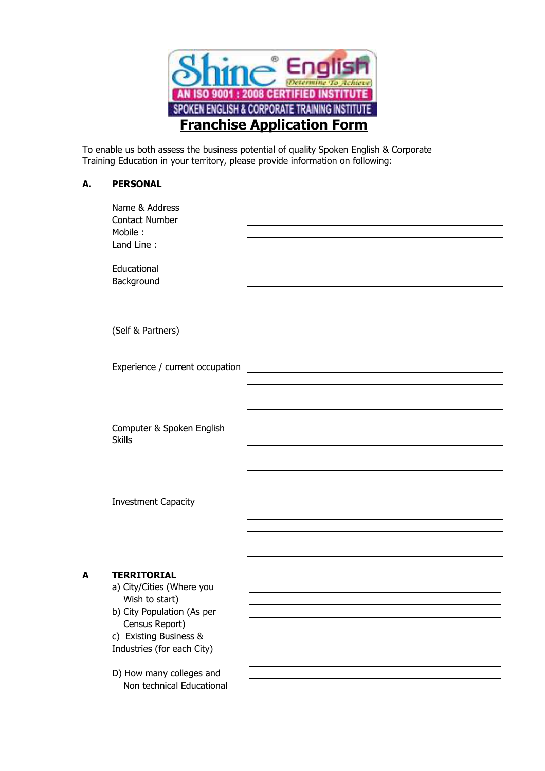

To enable us both assess the business potential of quality Spoken English & Corporate Training Education in your territory, please provide information on following:

## **A. PERSONAL**

|   | Name & Address<br><b>Contact Number</b><br>Mobile:<br>Land Line:       |  |
|---|------------------------------------------------------------------------|--|
|   | Educational<br>Background                                              |  |
|   | (Self & Partners)                                                      |  |
|   | Experience / current occupation                                        |  |
|   |                                                                        |  |
|   | Computer & Spoken English<br><b>Skills</b>                             |  |
|   |                                                                        |  |
|   | <b>Investment Capacity</b>                                             |  |
|   |                                                                        |  |
| A | <b>TERRITORIAL</b><br>a) City/Cities (Where you<br>Wish to start)      |  |
|   | b) City Population (As per<br>Census Report)<br>c) Existing Business & |  |
|   | Industries (for each City)                                             |  |
|   | D) How many colleges and<br>Non technical Educational                  |  |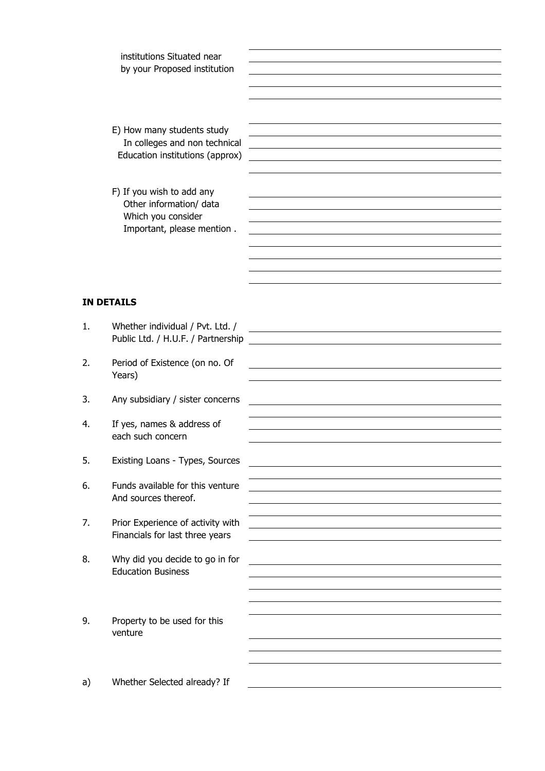institutions Situated near by your Proposed institution

- E) How many students study In colleges and non technical Education institutions (approx)
- F) If you wish to add any Other information/ data Which you consider Important, please mention .

## **IN DETAILS**

| 1. | Whether individual / Pvt. Ltd. /<br>Public Ltd. / H.U.F. / Partnership | <u> 1989 - Johann Barbara, martxa alemaniar a</u> |
|----|------------------------------------------------------------------------|---------------------------------------------------|
| 2. | Period of Existence (on no. Of<br>Years)                               |                                                   |
| 3. | Any subsidiary / sister concerns                                       |                                                   |
| 4. | If yes, names & address of<br>each such concern                        |                                                   |
| 5. | Existing Loans - Types, Sources                                        |                                                   |
| 6. | Funds available for this venture<br>And sources thereof.               |                                                   |
| 7. | Prior Experience of activity with<br>Financials for last three years   |                                                   |
| 8. | Why did you decide to go in for<br><b>Education Business</b>           |                                                   |
|    |                                                                        |                                                   |
| 9. | Property to be used for this<br>venture                                |                                                   |
|    |                                                                        |                                                   |
| a) | Whether Selected already? If                                           |                                                   |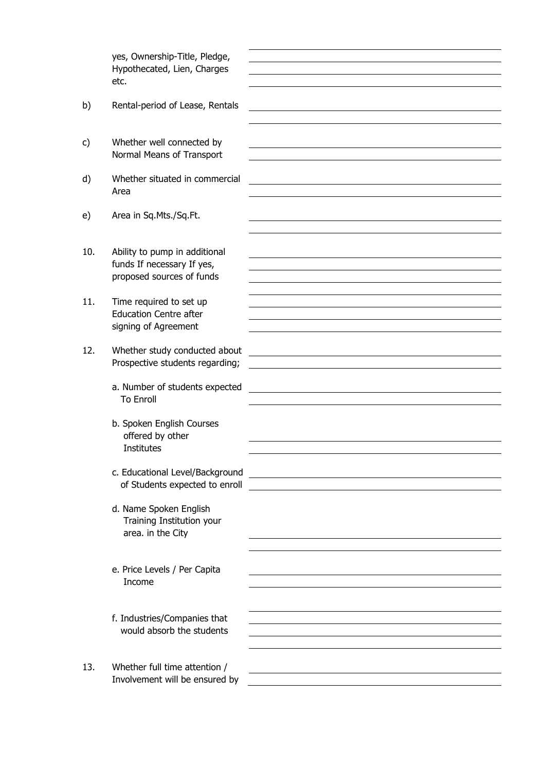|     | yes, Ownership-Title, Pledge,<br>Hypothecated, Lien, Charges<br>etc.                     |                                                                                                                      |
|-----|------------------------------------------------------------------------------------------|----------------------------------------------------------------------------------------------------------------------|
| b)  | Rental-period of Lease, Rentals                                                          |                                                                                                                      |
| c)  | Whether well connected by<br>Normal Means of Transport                                   |                                                                                                                      |
| d)  | Whether situated in commercial<br>Area                                                   |                                                                                                                      |
| e)  | Area in Sq.Mts./Sq.Ft.                                                                   |                                                                                                                      |
| 10. | Ability to pump in additional<br>funds If necessary If yes,<br>proposed sources of funds |                                                                                                                      |
| 11. | Time required to set up<br><b>Education Centre after</b><br>signing of Agreement         |                                                                                                                      |
| 12. | Whether study conducted about<br>Prospective students regarding;                         | <u> 1989 - Johann Barbara, martxa alemaniar amerikan a</u>                                                           |
|     | a. Number of students expected<br><b>To Enroll</b>                                       |                                                                                                                      |
|     | b. Spoken English Courses<br>offered by other<br><b>Institutes</b>                       |                                                                                                                      |
|     | c. Educational Level/Background<br>of Students expected to enroll                        | <u> 1980 - Johann Barn, mars ann an t-Amhain Aonaich an t-Aonaich an t-Aonaich ann an t-Aonaich ann an t-Aonaich</u> |
|     | d. Name Spoken English<br>Training Institution your<br>area. in the City                 |                                                                                                                      |
|     | e. Price Levels / Per Capita<br>Income                                                   |                                                                                                                      |
|     | f. Industries/Companies that<br>would absorb the students                                |                                                                                                                      |
| 13. | Whether full time attention /<br>Involvement will be ensured by                          |                                                                                                                      |